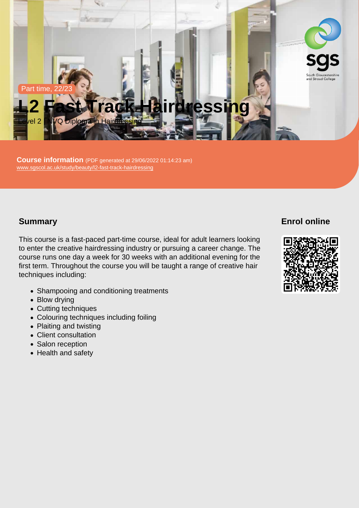Part time, 22/23

# L2 Fast Track Hairdressing

Level 2 | NVQ Diploma in Hairdressing

Course information (PDF generated at 29/06/2022 01:14:23 am) [www.sgscol.ac.uk/study/beauty/l2-fast-track-hairdressing](https://www.sgscol.ac.uk/study/beauty/l2-fast-track-hairdressing)

## **Summary**

This course is a fast-paced part-time course, ideal for adult learners looking to enter the creative hairdressing industry or pursuing a career change. The course runs one day a week for 30 weeks with an additional evening for the first term. Throughout the course you will be taught a range of creative hair techniques including:

- Shampooing and conditioning treatments
- Blow drying
- Cutting techniques
- Colouring techniques including foiling
- Plaiting and twisting
- Client consultation
- Salon reception
- Health and safety

Enrol online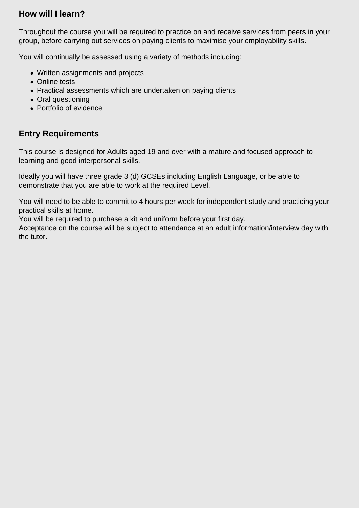## **How will I learn?**

Throughout the course you will be required to practice on and receive services from peers in your group, before carrying out services on paying clients to maximise your employability skills.

You will continually be assessed using a variety of methods including:

- Written assignments and projects
- Online tests
- Practical assessments which are undertaken on paying clients
- Oral questioning
- Portfolio of evidence

# **Entry Requirements**

This course is designed for Adults aged 19 and over with a mature and focused approach to learning and good interpersonal skills.

Ideally you will have three grade 3 (d) GCSEs including English Language, or be able to demonstrate that you are able to work at the required Level.

You will need to be able to commit to 4 hours per week for independent study and practicing your practical skills at home.

You will be required to purchase a kit and uniform before your first day.

Acceptance on the course will be subject to attendance at an adult information/interview day with the tutor.